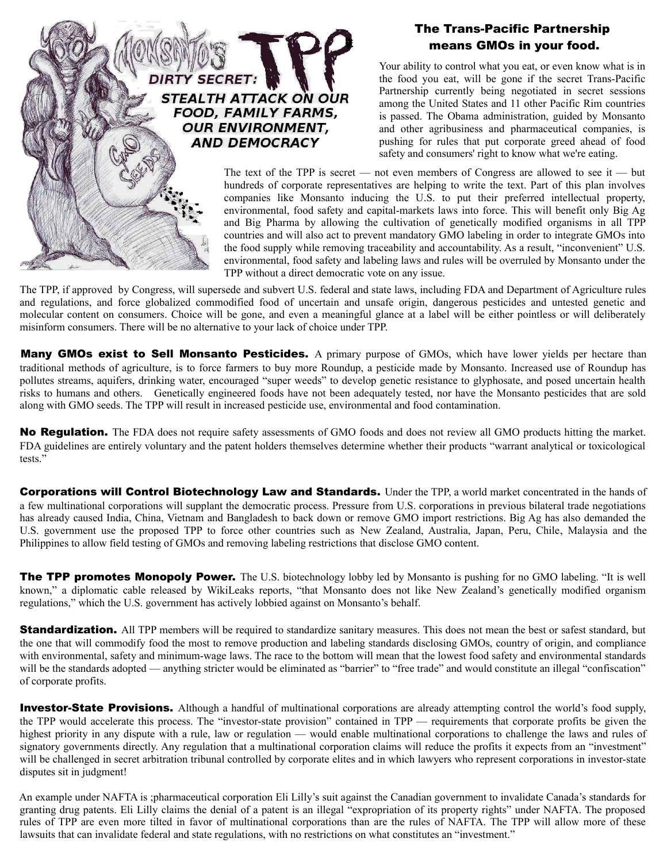

## The Trans-Pacific Partnership means GMOs in your food.

Your ability to control what you eat, or even know what is in the food you eat, will be gone if the secret Trans-Pacific Partnership currently being negotiated in secret sessions among the United States and 11 other Pacific Rim countries is passed. The Obama administration, guided by Monsanto and other agribusiness and pharmaceutical companies, is pushing for rules that put corporate greed ahead of food safety and consumers' right to know what we're eating.

The text of the TPP is secret — not even members of Congress are allowed to see it — but hundreds of corporate representatives are helping to write the text. Part of this plan involves companies like Monsanto inducing the U.S. to put their preferred intellectual property, environmental, food safety and capital-markets laws into force. This will benefit only Big Ag and Big Pharma by allowing the cultivation of genetically modified organisms in all TPP countries and will also act to prevent mandatory GMO labeling in order to integrate GMOs into the food supply while removing traceability and accountability. As a result, "inconvenient" U.S. environmental, food safety and labeling laws and rules will be overruled by Monsanto under the TPP without a direct democratic vote on any issue.

The TPP, if approved by Congress, will supersede and subvert U.S. federal and state laws, including FDA and Department of Agriculture rules and regulations, and force globalized commodified food of uncertain and unsafe origin, dangerous pesticides and untested genetic and molecular content on consumers. Choice will be gone, and even a meaningful glance at a label will be either pointless or will deliberately misinform consumers. There will be no alternative to your lack of choice under TPP.

Many GMOs exist to Sell Monsanto Pesticides. A primary purpose of GMOs, which have lower yields per hectare than traditional methods of agriculture, is to force farmers to buy more Roundup, a pesticide made by Monsanto. Increased use of Roundup has pollutes streams, aquifers, drinking water, encouraged "super weeds" to develop genetic resistance to glyphosate, and posed uncertain health risks to humans and others. Genetically engineered foods have not been adequately tested, nor have the Monsanto pesticides that are sold along with GMO seeds. The TPP will result in increased pesticide use, environmental and food contamination.

No Requisition. The FDA does not require safety assessments of GMO foods and does not review all GMO products hitting the market. FDA guidelines are entirely voluntary and the patent holders themselves determine whether their products "warrant analytical or toxicological tests."

**Corporations will Control Biotechnology Law and Standards.** Under the TPP, a world market concentrated in the hands of a few multinational corporations will supplant the democratic process. Pressure from U.S. corporations in previous bilateral trade negotiations has already caused India, China, Vietnam and Bangladesh to back down or remove GMO import restrictions. Big Ag has also demanded the U.S. government use the proposed TPP to force other countries such as New Zealand, Australia, Japan, Peru, Chile, Malaysia and the Philippines to allow field testing of GMOs and removing labeling restrictions that disclose GMO content.

**The TPP promotes Monopoly Power.** The U.S. biotechnology lobby led by Monsanto is pushing for no GMO labeling. "It is well known," a diplomatic cable released by WikiLeaks reports, "that Monsanto does not like New Zealand's genetically modified organism regulations," which the U.S. government has actively lobbied against on Monsanto's behalf.

**Standardization.** All TPP members will be required to standardize sanitary measures. This does not mean the best or safest standard, but the one that will commodify food the most to remove production and labeling standards disclosing GMOs, country of origin, and compliance with environmental, safety and minimum-wage laws. The race to the bottom will mean that the lowest food safety and environmental standards will be the standards adopted — anything stricter would be eliminated as "barrier" to "free trade" and would constitute an illegal "confiscation" of corporate profits.

**Investor-State Provisions.** Although a handful of multinational corporations are already attempting control the world's food supply, the TPP would accelerate this process. The "investor-state provision" contained in TPP — requirements that corporate profits be given the highest priority in any dispute with a rule, law or regulation — would enable multinational corporations to challenge the laws and rules of signatory governments directly. Any regulation that a multinational corporation claims will reduce the profits it expects from an "investment" will be challenged in secret arbitration tribunal controlled by corporate elites and in which lawyers who represent corporations in investor-state disputes sit in judgment!

An example under NAFTA is ;pharmaceutical corporation Eli Lilly's suit against the Canadian government to invalidate Canada's standards for granting drug patents. Eli Lilly claims the denial of a patent is an illegal "expropriation of its property rights" under NAFTA. The proposed rules of TPP are even more tilted in favor of multinational corporations than are the rules of NAFTA. The TPP will allow more of these lawsuits that can invalidate federal and state regulations, with no restrictions on what constitutes an "investment."